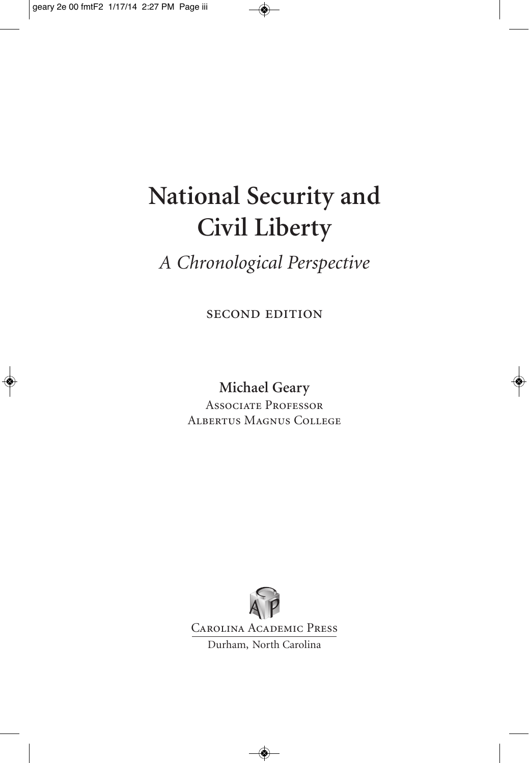# **National Security and Civil Liberty**

### *A Chronological Perspective*

second edition

**Michael Geary** Associate Professor Albertus Magnus College

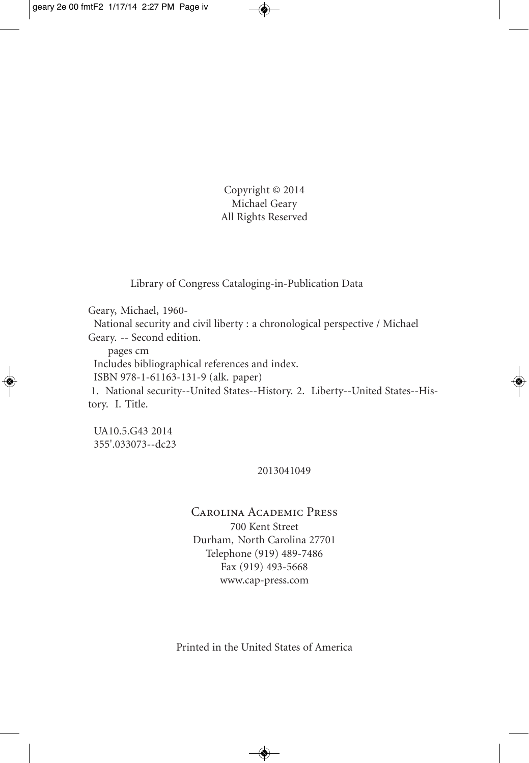Copyright © 2014 Michael Geary All Rights Reserved

Library of Congress Cataloging-in-Publication Data

Geary, Michael, 1960-

National security and civil liberty : a chronological perspective / Michael Geary. -- Second edition.

pages cm

Includes bibliographical references and index.

ISBN 978-1-61163-131-9 (alk. paper)

1. National security--United States--History. 2. Liberty--United States--History. I. Title.

UA10.5.G43 2014 355'.033073--dc23

#### 2013041049

#### Carolina Academic Press 700 Kent Street Durham, North Carolina 27701 Telephone (919) 489-7486

Fax (919) 493-5668 www.cap-press.com

Printed in the United States of America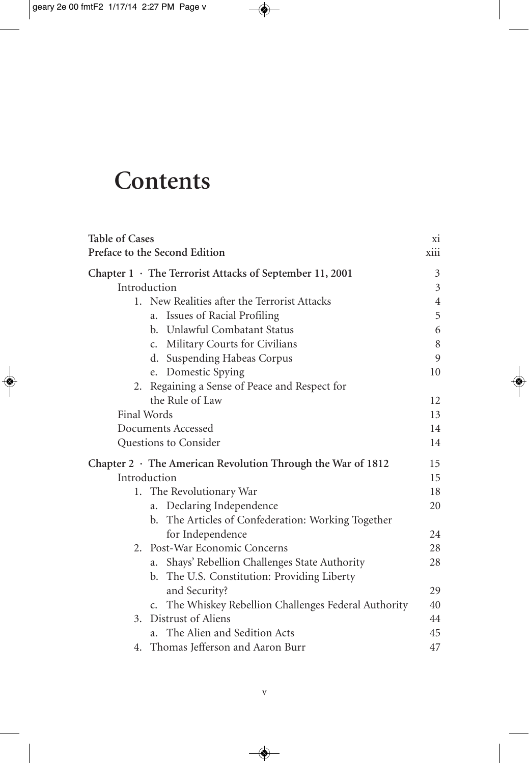## **Contents**

| <b>Table of Cases</b>         |                                                                     | X1             |
|-------------------------------|---------------------------------------------------------------------|----------------|
| Preface to the Second Edition |                                                                     | xiii           |
|                               | Chapter $1 \cdot$ The Terrorist Attacks of September 11, 2001       | 3              |
| Introduction                  |                                                                     | 3              |
|                               | 1. New Realities after the Terrorist Attacks                        | $\overline{4}$ |
|                               | Issues of Racial Profiling<br>a.                                    | 5              |
|                               | b. Unlawful Combatant Status                                        | 6              |
|                               | c. Military Courts for Civilians                                    | 8              |
|                               | d. Suspending Habeas Corpus                                         | 9              |
|                               | e. Domestic Spying                                                  | 10             |
|                               | 2. Regaining a Sense of Peace and Respect for                       |                |
|                               | the Rule of Law                                                     | 12             |
| Final Words                   |                                                                     | 13             |
|                               | Documents Accessed                                                  | 14             |
|                               | Questions to Consider                                               | 14             |
|                               | Chapter $2 \cdot$ The American Revolution Through the War of 1812   | 15             |
| Introduction                  |                                                                     | 15             |
|                               | 1. The Revolutionary War                                            | 18             |
|                               | Declaring Independence<br>a.                                        | 20             |
|                               | The Articles of Confederation: Working Together<br>b.               |                |
|                               | for Independence                                                    | 24             |
|                               | 2. Post-War Economic Concerns                                       | 28             |
|                               | Shays' Rebellion Challenges State Authority<br>a.                   | 28             |
|                               | The U.S. Constitution: Providing Liberty<br>b.                      |                |
|                               | and Security?                                                       | 29             |
|                               | The Whiskey Rebellion Challenges Federal Authority<br>$C_{\bullet}$ | 40             |
| 3.                            | Distrust of Aliens                                                  | 44             |
|                               | The Alien and Sedition Acts<br>a.                                   | 45             |
|                               | 4. Thomas Jefferson and Aaron Burr                                  | 47             |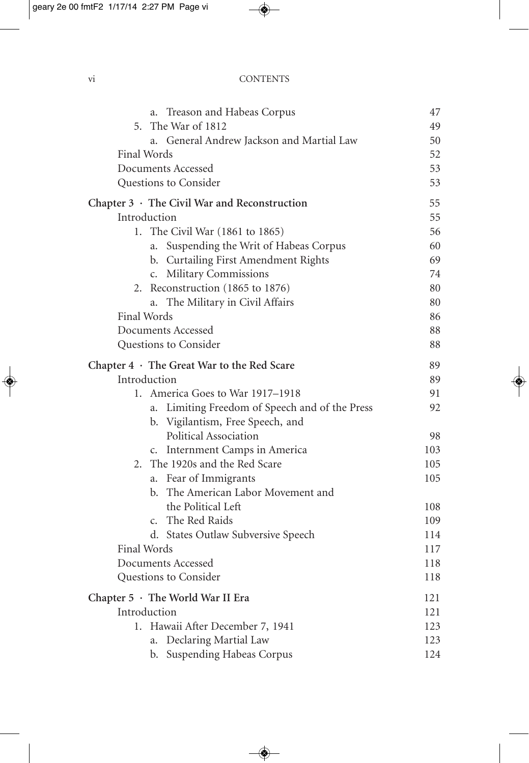#### vi CONTENTS

| Treason and Habeas Corpus<br>a.                    | 47  |
|----------------------------------------------------|-----|
| 5. The War of 1812                                 | 49  |
| General Andrew Jackson and Martial Law<br>a.       | 50  |
| Final Words                                        | 52  |
| Documents Accessed                                 |     |
| Questions to Consider                              | 53  |
| Chapter $3 \cdot$ The Civil War and Reconstruction | 55  |
| Introduction                                       | 55  |
| 1. The Civil War (1861 to 1865)                    | 56  |
| Suspending the Writ of Habeas Corpus<br>a.         | 60  |
| b. Curtailing First Amendment Rights               | 69  |
| c. Military Commissions                            | 74  |
| 2. Reconstruction (1865 to 1876)                   | 80  |
| The Military in Civil Affairs<br>a.                | 80  |
| Final Words                                        | 86  |
| Documents Accessed                                 | 88  |
| Questions to Consider                              | 88  |
| Chapter $4 \cdot$ The Great War to the Red Scare   | 89  |
| Introduction                                       | 89  |
| America Goes to War 1917–1918<br>1.                | 91  |
| Limiting Freedom of Speech and of the Press<br>a.  | 92  |
| b. Vigilantism, Free Speech, and                   |     |
| Political Association                              | 98  |
| Internment Camps in America<br>$C_{\bullet}$       | 103 |
| The 1920s and the Red Scare<br>2.                  | 105 |
| a. Fear of Immigrants                              | 105 |
| The American Labor Movement and<br>b.              |     |
| the Political Left                                 | 108 |
| The Red Raids<br>$\mathsf{C}$ .                    | 109 |
| d. States Outlaw Subversive Speech                 | 114 |
| Final Words                                        | 117 |
| Documents Accessed                                 | 118 |
| Questions to Consider                              | 118 |
| Chapter 5 · The World War II Era                   | 121 |
| Introduction                                       |     |
| 1. Hawaii After December 7, 1941                   | 123 |
| Declaring Martial Law<br>a.                        | 123 |
| b. Suspending Habeas Corpus                        | 124 |
|                                                    |     |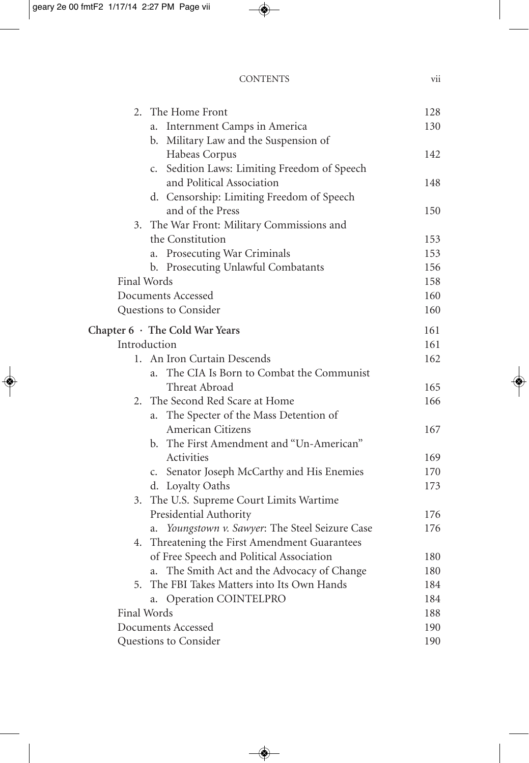#### CONTENTS vii

| 2.                    | The Home Front                                             | 128 |
|-----------------------|------------------------------------------------------------|-----|
|                       | Internment Camps in America<br>a.                          | 130 |
|                       | Military Law and the Suspension of<br>b.                   |     |
|                       | Habeas Corpus                                              | 142 |
|                       | Sedition Laws: Limiting Freedom of Speech<br>$C_{\bullet}$ |     |
|                       | and Political Association                                  | 148 |
|                       | d. Censorship: Limiting Freedom of Speech                  |     |
|                       | and of the Press                                           | 150 |
|                       | 3. The War Front: Military Commissions and                 |     |
|                       | the Constitution                                           | 153 |
|                       | Prosecuting War Criminals<br>a.                            | 153 |
|                       | b. Prosecuting Unlawful Combatants                         | 156 |
| <b>Final Words</b>    |                                                            | 158 |
|                       | Documents Accessed                                         | 160 |
|                       | Questions to Consider                                      | 160 |
|                       | Chapter 6 · The Cold War Years                             | 161 |
|                       | Introduction                                               | 161 |
|                       | 1. An Iron Curtain Descends                                | 162 |
|                       | The CIA Is Born to Combat the Communist<br>a.              |     |
|                       | Threat Abroad                                              | 165 |
| 2.                    | The Second Red Scare at Home                               | 166 |
|                       | a. The Specter of the Mass Detention of                    |     |
|                       | American Citizens                                          | 167 |
|                       | b. The First Amendment and "Un-American"                   |     |
|                       | Activities                                                 | 169 |
|                       | c. Senator Joseph McCarthy and His Enemies                 | 170 |
|                       | d. Loyalty Oaths                                           | 173 |
|                       | 3. The U.S. Supreme Court Limits Wartime                   |     |
|                       | Presidential Authority                                     | 176 |
|                       | Youngstown v. Sawyer: The Steel Seizure Case<br>a.         | 176 |
|                       | 4. Threatening the First Amendment Guarantees              |     |
|                       | of Free Speech and Political Association                   | 180 |
|                       | The Smith Act and the Advocacy of Change<br>a.             | 180 |
|                       | 5. The FBI Takes Matters into Its Own Hands                | 184 |
|                       | Operation COINTELPRO<br>a.                                 | 184 |
| <b>Final Words</b>    |                                                            | 188 |
| Documents Accessed    |                                                            | 190 |
| Questions to Consider |                                                            | 190 |
|                       |                                                            |     |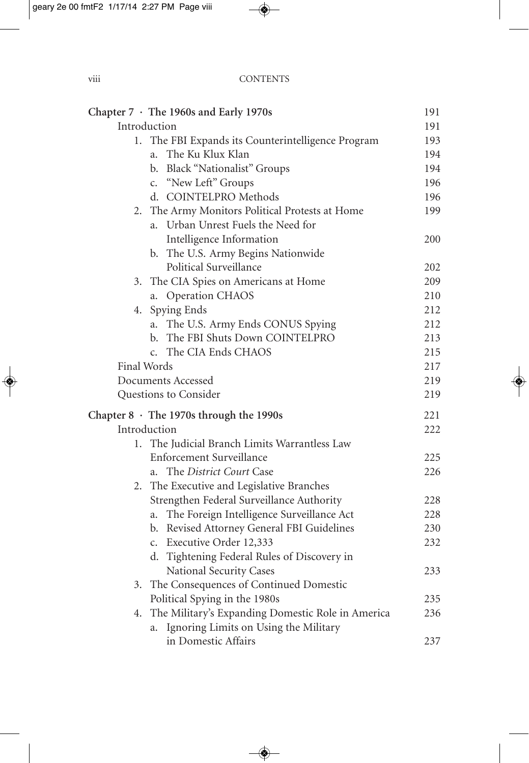|              | Chapter 7 · The 1960s and Early 1970s              | 191 |
|--------------|----------------------------------------------------|-----|
| Introduction |                                                    | 191 |
|              | 1. The FBI Expands its Counterintelligence Program | 193 |
|              | a. The Ku Klux Klan                                | 194 |
|              | b. Black "Nationalist" Groups                      | 194 |
|              | c. "New Left" Groups                               | 196 |
|              | d. COINTELPRO Methods                              | 196 |
|              | 2. The Army Monitors Political Protests at Home    | 199 |
|              | Urban Unrest Fuels the Need for<br>a.              |     |
|              | Intelligence Information                           | 200 |
|              | b. The U.S. Army Begins Nationwide                 |     |
|              | Political Surveillance                             | 202 |
|              | 3. The CIA Spies on Americans at Home              | 209 |
|              | Operation CHAOS<br>a.                              | 210 |
|              | 4. Spying Ends                                     | 212 |
|              | The U.S. Army Ends CONUS Spying<br>a.              | 212 |
|              | The FBI Shuts Down COINTELPRO<br>b.                | 213 |
|              | c. The CIA Ends CHAOS                              | 215 |
| Final Words  |                                                    | 217 |
|              | Documents Accessed                                 | 219 |
|              | Questions to Consider                              | 219 |
|              | Chapter $8 \cdot$ The 1970s through the 1990s      | 221 |
| Introduction |                                                    | 222 |
|              | 1. The Judicial Branch Limits Warrantless Law      |     |
|              | <b>Enforcement Surveillance</b>                    | 225 |
|              | a. The District Court Case                         | 226 |
|              | 2. The Executive and Legislative Branches          |     |
|              | Strengthen Federal Surveillance Authority          | 228 |
|              | The Foreign Intelligence Surveillance Act<br>a.    | 228 |
|              | b. Revised Attorney General FBI Guidelines         | 230 |
|              | c. Executive Order 12,333                          | 232 |
|              | d. Tightening Federal Rules of Discovery in        |     |
|              | National Security Cases                            | 233 |
|              | 3. The Consequences of Continued Domestic          |     |
|              | Political Spying in the 1980s                      | 235 |
| 4.           | The Military's Expanding Domestic Role in America  | 236 |
|              | Ignoring Limits on Using the Military<br>a.        |     |
|              | in Domestic Affairs                                | 237 |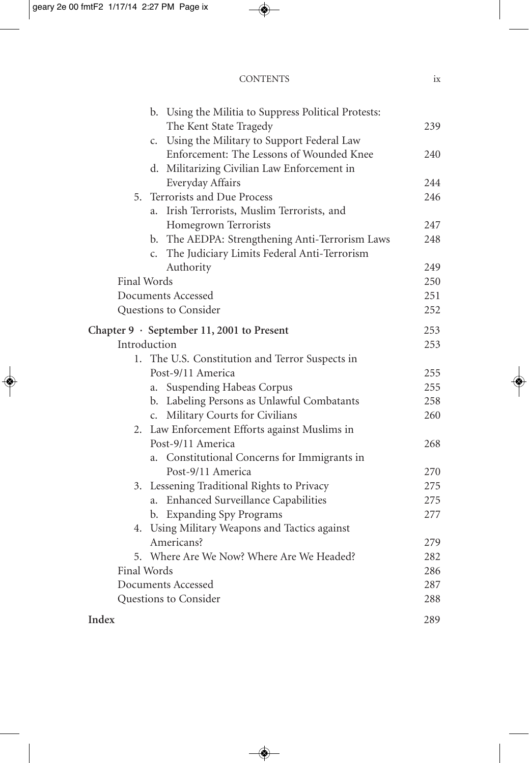#### CONTENTS ix

| b. Using the Militia to Suppress Political Protests:       |     |
|------------------------------------------------------------|-----|
| The Kent State Tragedy                                     | 239 |
| Using the Military to Support Federal Law<br>$C_{\bullet}$ |     |
| Enforcement: The Lessons of Wounded Knee                   | 240 |
| d. Militarizing Civilian Law Enforcement in                |     |
| Everyday Affairs                                           | 244 |
| Terrorists and Due Process<br>5.                           | 246 |
| Irish Terrorists, Muslim Terrorists, and<br>a.             |     |
| Homegrown Terrorists                                       | 247 |
| b. The AEDPA: Strengthening Anti-Terrorism Laws            | 248 |
| c. The Judiciary Limits Federal Anti-Terrorism             |     |
| Authority                                                  | 249 |
| Final Words                                                |     |
| Documents Accessed                                         | 251 |
| Questions to Consider                                      | 252 |
| Chapter $9 \cdot$ September 11, 2001 to Present            | 253 |
| Introduction                                               | 253 |
| 1. The U.S. Constitution and Terror Suspects in            |     |
| Post-9/11 America                                          | 255 |
| a. Suspending Habeas Corpus                                | 255 |
| b. Labeling Persons as Unlawful Combatants                 | 258 |
| c. Military Courts for Civilians                           | 260 |
| 2. Law Enforcement Efforts against Muslims in              |     |
| Post-9/11 America                                          | 268 |
| a. Constitutional Concerns for Immigrants in               |     |
| Post-9/11 America                                          | 270 |
| 3. Lessening Traditional Rights to Privacy                 | 275 |
| a. Enhanced Surveillance Capabilities                      | 275 |
| b. Expanding Spy Programs                                  | 277 |
| 4. Using Military Weapons and Tactics against              |     |
| Americans?                                                 | 279 |
| 5. Where Are We Now? Where Are We Headed?                  | 282 |
| <b>Final Words</b>                                         |     |
| Documents Accessed                                         |     |
| Questions to Consider                                      | 288 |
| Index                                                      | 289 |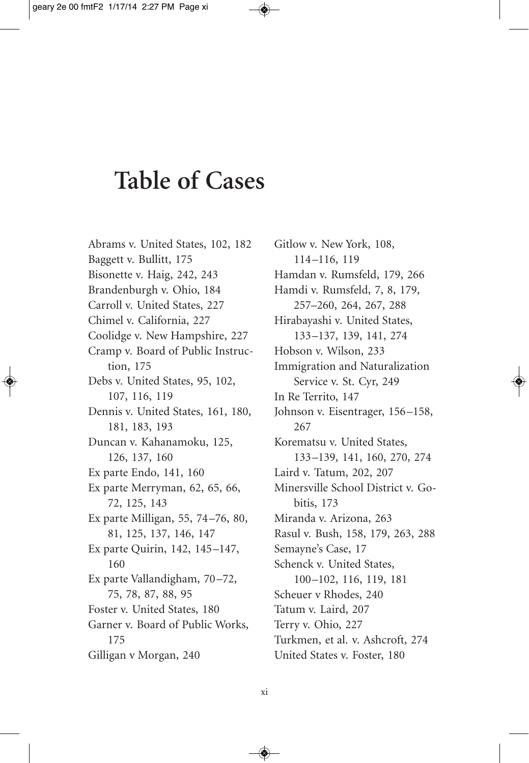## **Table of Cases**

Abrams v. United States, 102, 182 Baggett v. Bullitt, 175 Bisonette v. Haig, 242, 243 Brandenburgh v. Ohio, 184 Carroll v. United States, 227 Chimel v. California, 227 Coolidge v. New Hampshire, 227 Cramp v. Board of Public Instruction, 175 Debs v. United States, 95, 102, 107, 116, 119 Dennis v. United States, 161, 180, 181, 183, 193 Duncan v. Kahanamoku, 125, 126, 137, 160 Ex parte Endo, 141, 160 Ex parte Merryman, 62, 65, 66, 72, 125, 143 Ex parte Milligan, 55, 74–76, 80, 81, 125, 137, 146, 147 Ex parte Quirin, 142, 145–147, 160 Ex parte Vallandigham, 70–72, 75, 78, 87, 88, 95 Foster v. United States, 180 Garner v. Board of Public Works, 175 Gilligan v Morgan, 240

Gitlow v. New York, 108, 114–116, 119 Hamdan v. Rumsfeld, 179, 266 Hamdi v. Rumsfeld, 7, 8, 179, 257–260, 264, 267, 288 Hirabayashi v. United States, 133–137, 139, 141, 274 Hobson v. Wilson, 233 Immigration and Naturalization Service v. St. Cyr, 249 In Re Territo, 147 Johnson v. Eisentrager, 156–158, 267 Korematsu v. United States, 133–139, 141, 160, 270, 274 Laird v. Tatum, 202, 207 Minersville School District v. Gobitis, 173 Miranda v. Arizona, 263 Rasul v. Bush, 158, 179, 263, 288 Semayne's Case, 17 Schenck v. United States, 100–102, 116, 119, 181 Scheuer v Rhodes, 240 Tatum v. Laird, 207 Terry v. Ohio, 227 Turkmen, et al. v. Ashcroft, 274 United States v. Foster, 180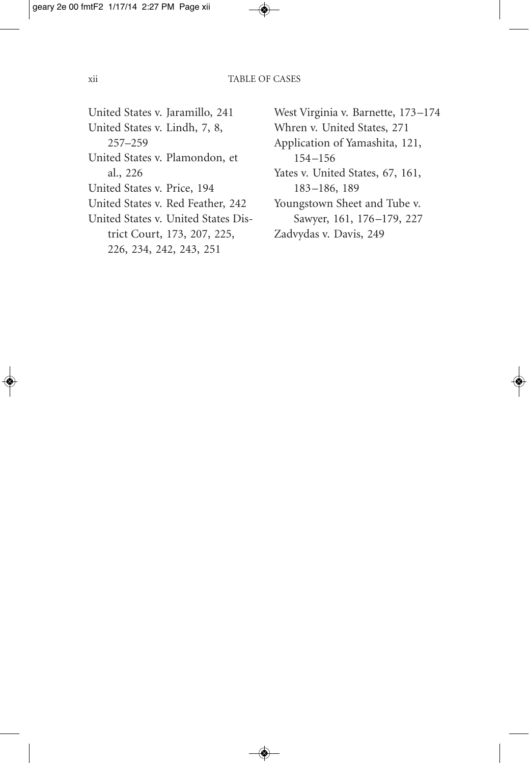- United States v. Jaramillo, 241 United States v. Lindh, 7, 8, 257–259
- United States v. Plamondon, et al., 226
- United States v. Price, 194
- United States v. Red Feather, 242
- United States v. United States District Court, 173, 207, 225, 226, 234, 242, 243, 251
- West Virginia v. Barnette, 173–174 Whren v. United States, 271 Application of Yamashita, 121, 154–156 Yates v. United States, 67, 161, 183–186, 189 Youngstown Sheet and Tube v. Sawyer, 161, 176–179, 227 Zadvydas v. Davis, 249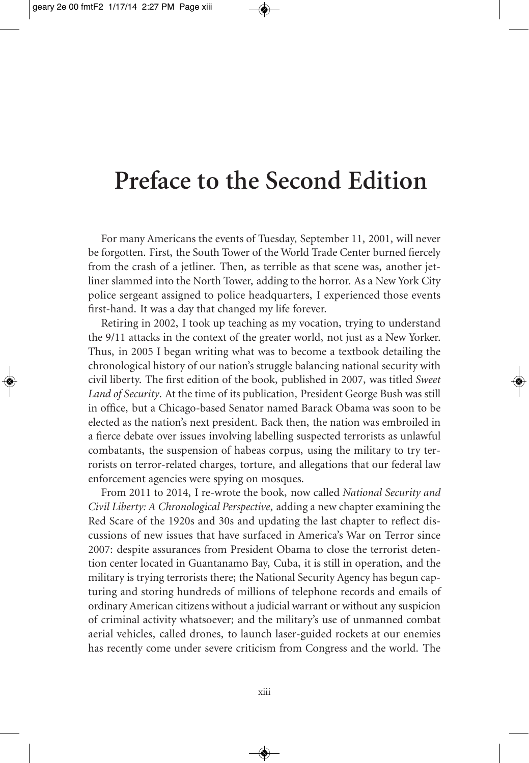## **Preface to the Second Edition**

For many Americans the events of Tuesday, September 11, 2001, will never be forgotten. First, the South Tower of the World Trade Center burned fiercely from the crash of a jetliner. Then, as terrible as that scene was, another jetliner slammed into the North Tower, adding to the horror. As a New York City police sergeant assigned to police headquarters, I experienced those events first-hand. It was a day that changed my life forever.

Retiring in 2002, I took up teaching as my vocation, trying to understand the 9/11 attacks in the context of the greater world, not just as a New Yorker. Thus, in 2005 I began writing what was to become a textbook detailing the chronological history of our nation's struggle balancing national security with civil liberty. The first edition of the book, published in 2007, was titled *Sweet Land of Security*. At the time of its publication, President George Bush was still in office, but a Chicago-based Senator named Barack Obama was soon to be elected as the nation's next president. Back then, the nation was embroiled in a fierce debate over issues involving labelling suspected terrorists as unlawful combatants, the suspension of habeas corpus, using the military to try terrorists on terror-related charges, torture, and allegations that our federal law enforcement agencies were spying on mosques.

From 2011 to 2014, I re-wrote the book, now called *National Security and Civil Liberty: A Chronological Perspective*, adding a new chapter examining the Red Scare of the 1920s and 30s and updating the last chapter to reflect discussions of new issues that have surfaced in America's War on Terror since 2007: despite assurances from President Obama to close the terrorist detention center located in Guantanamo Bay, Cuba, it is still in operation, and the military is trying terrorists there; the National Security Agency has begun capturing and storing hundreds of millions of telephone records and emails of ordinary American citizens without a judicial warrant or without any suspicion of criminal activity whatsoever; and the military's use of unmanned combat aerial vehicles, called drones, to launch laser-guided rockets at our enemies has recently come under severe criticism from Congress and the world. The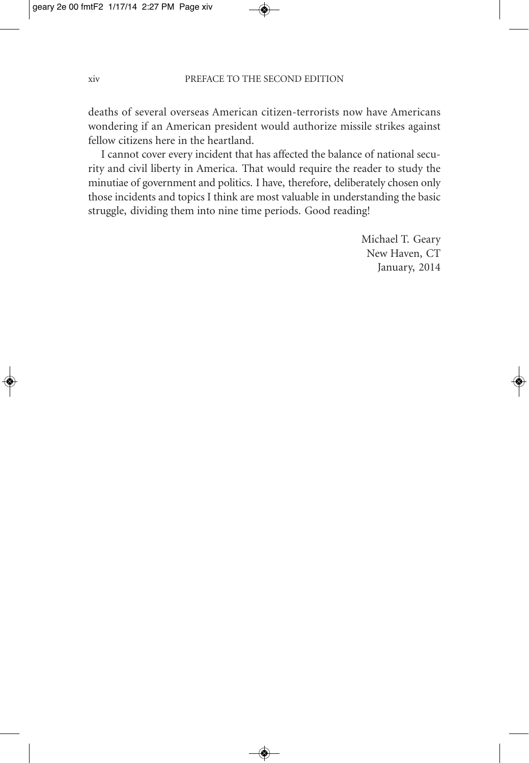deaths of several overseas American citizen-terrorists now have Americans wondering if an American president would authorize missile strikes against fellow citizens here in the heartland.

I cannot cover every incident that has affected the balance of national security and civil liberty in America. That would require the reader to study the minutiae of government and politics. I have, therefore, deliberately chosen only those incidents and topics I think are most valuable in understanding the basic struggle, dividing them into nine time periods. Good reading!

> Michael T. Geary New Haven, CT January, 2014